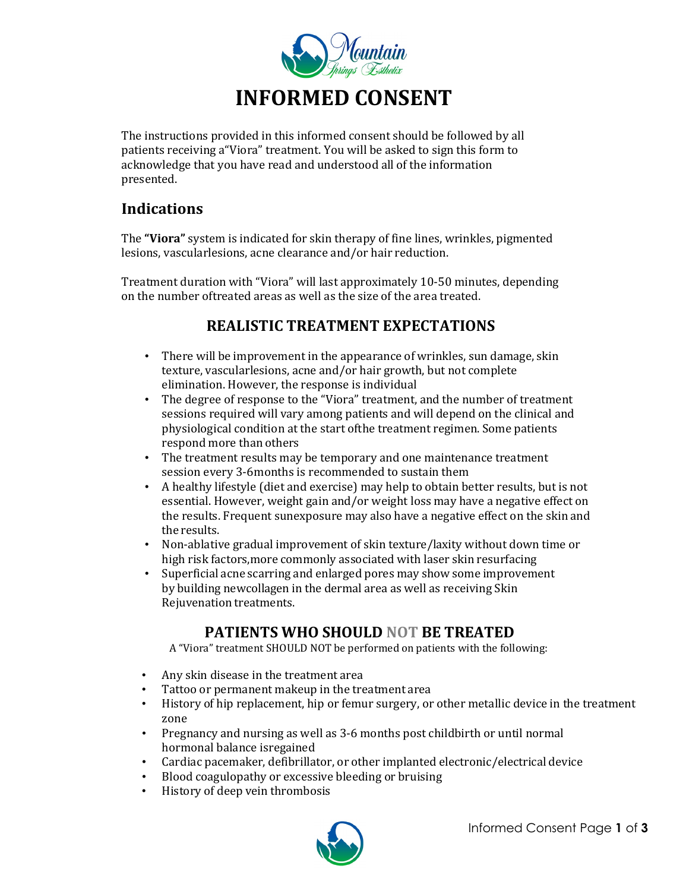

The instructions provided in this informed consent should be followed by all patients receiving a"Viora" treatment. You will be asked to sign this form to acknowledge that you have read and understood all of the information presented.

### **Indications**

The **"Viora"** system is indicated for skin therapy of fine lines, wrinkles, pigmented lesions, vascularlesions, acne clearance and/or hair reduction.

Treatment duration with "Viora" will last approximately 10-50 minutes, depending on the number oftreated areas as well as the size of the area treated.

# **REALISTIC TREATMENT EXPECTATIONS**

- There will be improvement in the appearance of wrinkles, sun damage, skin texture, vascularlesions, acne and/or hair growth, but not complete elimination. However, the response is individual
- The degree of response to the "Viora" treatment, and the number of treatment sessions required will vary among patients and will depend on the clinical and physiological condition at the start ofthe treatment regimen. Some patients respond more than others
- The treatment results may be temporary and one maintenance treatment session every 3-6months is recommended to sustain them
- A healthy lifestyle (diet and exercise) may help to obtain better results, but is not essential. However, weight gain and/or weight loss may have a negative effect on the results. Frequent sunexposure may also have a negative effect on the skin and the results.
- Non-ablative gradual improvement of skin texture/laxity without down time or high risk factors,more commonly associated with laser skin resurfacing
- Superficial acne scarring and enlarged pores may show some improvement by building newcollagen in the dermal area as well as receiving Skin Rejuvenation treatments.

## **PATIENTS WHO SHOULD NOT BE TREATED**

A "Viora" treatment SHOULD NOT be performed on patients with the following:

- Any skin disease in the treatment area
- Tattoo or permanent makeup in the treatment area<br>• History of hin renlacement, hin or femur surgery, or
- History of hip replacement, hip or femur surgery, or other metallic device in the treatment zone
- Pregnancy and nursing as well as 3-6 months post childbirth or until normal hormonal balance isregained
- Cardiac pacemaker, defibrillator, or other implanted electronic/electrical device<br>• Blood coagulonathy or excessive bleeding or bruising
- Blood coagulopathy or excessive bleeding or bruising<br>• History of deen vein thrombosis
- History of deep vein thrombosis

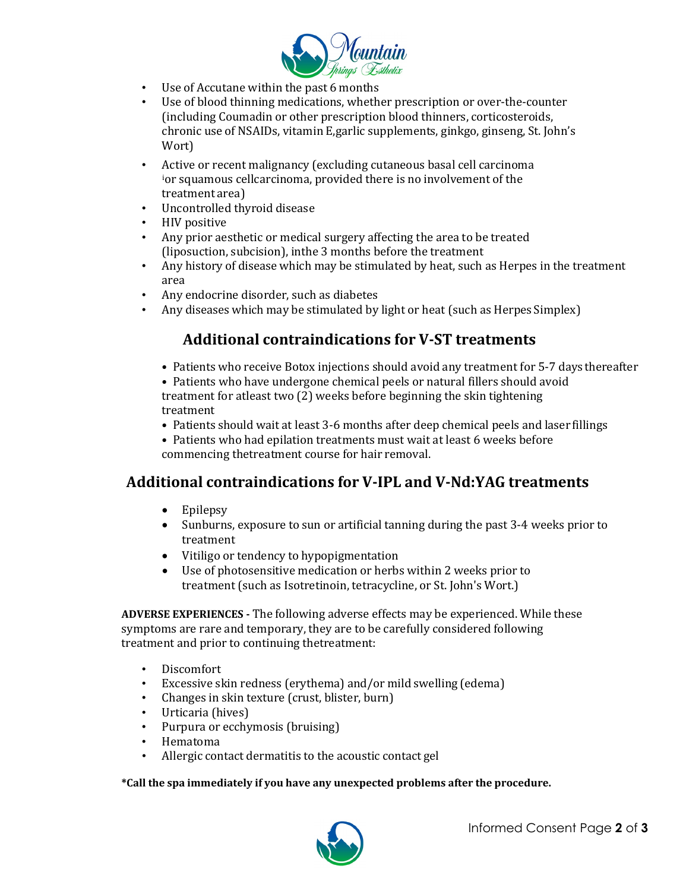

- Use of Accutane within the past 6 months<br>• Use of blood thinning medications wheth
- Use of blood thinning medications, whether prescription or over-the-counter (including Coumadin or other prescription blood thinners, corticosteroids, chronic use of NSAIDs, vitamin E,garlic supplements, ginkgo, ginseng, St. John's Wort)
- Active or recent malignancy (excluding cutaneous basal cell carcinoma [i](#page-2-0) or squamous cellcarcinoma, provided there is no involvement of the treatment area)
- Uncontrolled thyroid disease
- HIV positive
- Any prior aesthetic or medical surgery affecting the area to be treated (liposuction, subcision), inthe 3 months before the treatment
- Any history of disease which may be stimulated by heat, such as Herpes in the treatment area
- Any endocrine disorder, such as diabetes<br>• Any diseases which may be stimulated by
- Any diseases which may be stimulated by light or heat (such as Herpes Simplex)

## **Additional contraindications for V-ST treatments**

- Patients who receive Botox injections should avoid any treatment for 5-7 days thereafter
- Patients who have undergone chemical peels or natural fillers should avoid treatment for atleast two (2) weeks before beginning the skin tightening treatment
- Patients should wait at least 3-6 months after deep chemical peels and laser fillings
- Patients who had epilation treatments must wait at least 6 weeks before commencing thetreatment course for hair removal.

## **Additional contraindications for V-IPL and V-Nd:YAG treatments**

- Epilepsy
- Sunburns, exposure to sun or artificial tanning during the past 3-4 weeks prior to treatment
- Vitiligo or tendency to hypopigmentation
- Use of photosensitive medication or herbs within 2 weeks prior to treatment (such as Isotretinoin, tetracycline, or St. John's Wort.)

**ADVERSE EXPERIENCES -** The following adverse effects may be experienced. While these symptoms are rare and temporary, they are to be carefully considered following treatment and prior to continuing thetreatment:

- Discomfort<br>• Excessive sk
- Excessive skin redness (erythema) and/or mild swelling (edema)<br>• Changes in skin texture (crust, blister, burn)
- Changes in skin texture (crust, blister, burn)
- Urticaria (hives)
- Purpura or ecchymosis (bruising)<br>• Hematoma
- Hematoma<br>• Allergic con
- Allergic contact dermatitis to the acoustic contact gel

**\*Call the spa immediately if you have any unexpected problems after the procedure.**